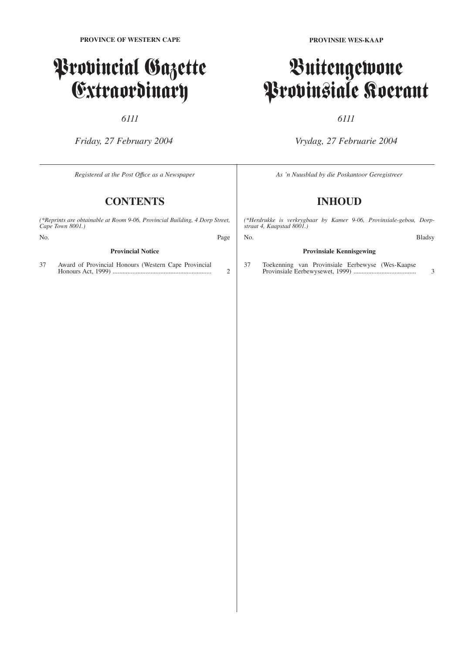# Provincial Gazette Extraordinary

*6111*

*Friday, 27 February 2004*

*Registered at the Post Offıce as a Newspaper*

# **CONTENTS**

*(\*Reprints are obtainable at Room 9-06, Provincial Building, 4 Dorp Street, Cape Town 8001.)*

No. Page

#### **Provincial Notice**

37 Award of Provincial Honours (Western Cape Provincial Honours Act, 1999) ............................................................ 2

# Buitengewone Provinsiale Koerant

## *6111*

*Vrydag, 27 Februarie 2004*

*As 'n Nuusblad by die Poskantoor Geregistreer*

# **INHOUD**

*(\*Herdrukke is verkrygbaar by Kamer 9-06, Provinsiale-gebou, Dorpstraat 4, Kaapstad 8001.)*

### **Provinsiale Kennisgewing**

37 Toekenning van Provinsiale Eerbewyse (Wes-Kaapse Provinsiale Eerbewysewet, 1999) ...................................... 3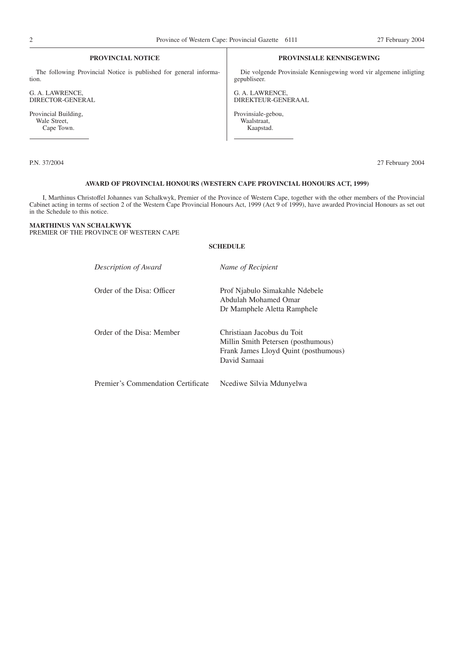#### **PROVINCIAL NOTICE**

The following Provincial Notice is published for general information.

G. A. LAWRENCE, DIRECTOR-GENERAL

Provincial Building, Wale Street, Cape Town.

#### **PROVINSIALE KENNISGEWING**

Die volgende Provinsiale Kennisgewing word vir algemene inligting gepubliseer.

G. A. LAWRENCE, DIREKTEUR-GENERAAL

Provinsiale-gebou, Waalstraat, Kaapstad.

P.N. 37/2004 27 February 2004

#### **AWARD OF PROVINCIAL HONOURS (WESTERN CAPE PROVINCIAL HONOURS ACT, 1999)**

I, Marthinus Christoffel Johannes van Schalkwyk, Premier of the Province of Western Cape, together with the other members of the Provincial Cabinet acting in terms of section 2 of the Western Cape Provincial Honours Act, 1999 (Act 9 of 1999), have awarded Provincial Honours as set out in the Schedule to this notice.

#### **MARTHINUS VAN SCHALKWYK** PREMIER OF THE PROVINCE OF WESTERN CAPE

#### **SCHEDULE**

| Description of Award               | Name of Recipient                                                                                                        |
|------------------------------------|--------------------------------------------------------------------------------------------------------------------------|
| Order of the Disa: Officer         | Prof Njabulo Simakahle Ndebele<br>Abdulah Mohamed Omar<br>Dr Mamphele Aletta Ramphele                                    |
| Order of the Disa: Member          | Christiaan Jacobus du Toit<br>Millin Smith Petersen (posthumous)<br>Frank James Lloyd Quint (posthumous)<br>David Samaai |
| Premier's Commendation Certificate | Ncediwe Silvia Mdunyelwa                                                                                                 |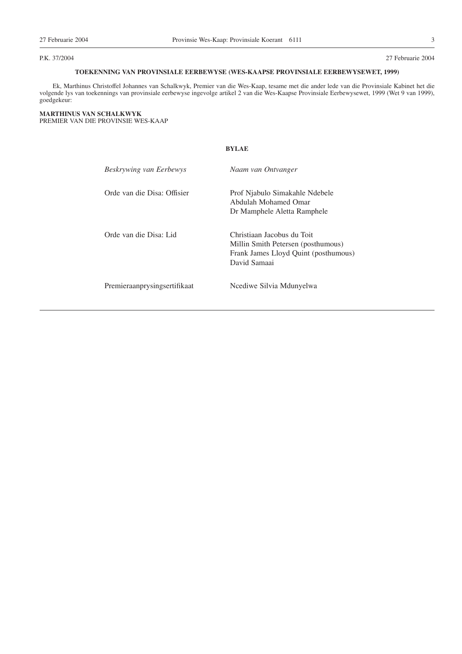P.K. 37/2004 27 Februarie 2004

### **TOEKENNING VAN PROVINSIALE EERBEWYSE (WES-KAAPSE PROVINSIALE EERBEWYSEWET, 1999)**

Ek, Marthinus Christoffel Johannes van Schalkwyk, Premier van die Wes-Kaap, tesame met die ander lede van die Provinsiale Kabinet het die volgende lys van toekennings van provinsiale eerbewyse ingevolge artikel 2 van die Wes-Kaapse Provinsiale Eerbewysewet, 1999 (Wet 9 van 1999), goedgekeur:

**BYLAE**

#### **MARTHINUS VAN SCHALKWYK** PREMIER VAN DIE PROVINSIE WES-KAAP

| Beskrywing van Eerbewys      | Naam van Ontvanger                                                                                                       |
|------------------------------|--------------------------------------------------------------------------------------------------------------------------|
| Orde van die Disa: Offisier  | Prof Njabulo Simakahle Ndebele<br>Abdulah Mohamed Omar                                                                   |
|                              | Dr Mamphele Aletta Ramphele                                                                                              |
| Orde van die Disa: Lid       | Christiaan Jacobus du Toit<br>Millin Smith Petersen (posthumous)<br>Frank James Lloyd Quint (posthumous)<br>David Samaai |
| Premieraanprysingsertifikaat | Ncediwe Silvia Mdunyelwa                                                                                                 |